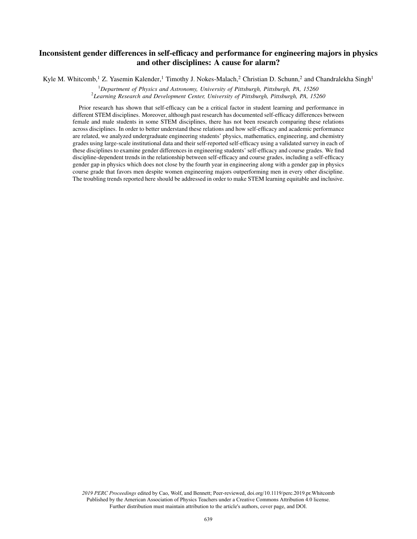# Inconsistent gender differences in self-efficacy and performance for engineering majors in physics and other disciplines: A cause for alarm?

Kyle M. Whitcomb,<sup>1</sup> Z. Yasemin Kalender,<sup>1</sup> Timothy J. Nokes-Malach,<sup>2</sup> Christian D. Schunn,<sup>2</sup> and Chandralekha Singh<sup>1</sup>

<sup>1</sup>*Department of Physics and Astronomy, University of Pittsburgh, Pittsburgh, PA, 15260* 2 *Learning Research and Development Center, University of Pittsburgh, Pittsburgh, PA, 15260*

Prior research has shown that self-efficacy can be a critical factor in student learning and performance in different STEM disciplines. Moreover, although past research has documented self-efficacy differences between female and male students in some STEM disciplines, there has not been research comparing these relations across disciplines. In order to better understand these relations and how self-efficacy and academic performance are related, we analyzed undergraduate engineering students' physics, mathematics, engineering, and chemistry grades using large-scale institutional data and their self-reported self-efficacy using a validated survey in each of these disciplines to examine gender differences in engineering students' self-efficacy and course grades. We find discipline-dependent trends in the relationship between self-efficacy and course grades, including a self-efficacy gender gap in physics which does not close by the fourth year in engineering along with a gender gap in physics course grade that favors men despite women engineering majors outperforming men in every other discipline. The troubling trends reported here should be addressed in order to make STEM learning equitable and inclusive.

*2019 PERC Proceedings* edited by Cao, Wolf, and Bennett; Peer-reviewed, doi.org/10.1119/perc.2019.pr.Whitcomb Published by the American Association of Physics Teachers under a Creative Commons Attribution 4.0 license. Further distribution must maintain attribution to the article's authors, cover page, and DOI.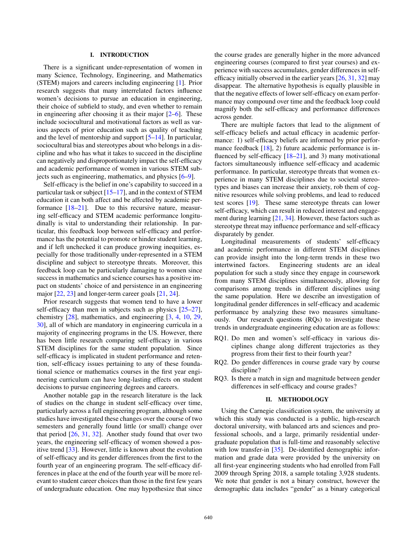## I. INTRODUCTION

There is a significant under-representation of women in many Science, Technology, Engineering, and Mathematics (STEM) majors and careers including engineering [1]. Prior research suggests that many interrelated factors influence women's decisions to pursue an education in engineering, their choice of subfield to study, and even whether to remain in engineering after choosing it as their major [2–6]. These include sociocultural and motivational factors as well as various aspects of prior education such as quality of teaching and the level of mentorship and support [5–14]. In particular, sociocultural bias and stereotypes about who belongs in a discipline and who has what it takes to succeed in the discipline can negatively and disproportionately impact the self-efficacy and academic performance of women in various STEM subjects such as engineering, mathematics, and physics [6–9].

Self-efficacy is the belief in one's capability to succeed in a particular task or subject [15–17], and in the context of STEM education it can both affect and be affected by academic performance  $[18-21]$ . Due to this recursive nature, measuring self-efficacy and STEM academic performance longitudinally is vital to understanding their relationship. In particular, this feedback loop between self-efficacy and performance has the potential to promote or hinder student learning, and if left unchecked it can produce growing inequities, especially for those traditionally under-represented in a STEM discipline and subject to stereotype threats. Moreover, this feedback loop can be particularly damaging to women since success in mathematics and science courses has a positive impact on students' choice of and persistence in an engineering major [22, 23] and longer-term career goals [21, 24].

Prior research suggests that women tend to have a lower self-efficacy than men in subjects such as physics  $[25-27]$ , chemistry [28], mathematics, and engineering [3, 4, 10, 29, 30], all of which are mandatory in engineering curricula in a majority of engineering programs in the US. However, there has been little research comparing self-efficacy in various STEM disciplines for the same student population. Since self-efficacy is implicated in student performance and retention, self-efficacy issues pertaining to any of these foundational science or mathematics courses in the first year engineering curriculum can have long-lasting effects on student decisions to pursue engineering degrees and careers.

Another notable gap in the research literature is the lack of studies on the change in student self-efficacy over time, particularly across a full engineering program, although some studies have investigated these changes over the course of two semesters and generally found little (or small) change over that period [26, 31, 32]. Another study found that over two years, the engineering self-efficacy of women showed a positive trend [33]. However, little is known about the evolution of self-efficacy and its gender differences from the first to the fourth year of an engineering program. The self-efficacy differences in place at the end of the fourth year will be more relevant to student career choices than those in the first few years of undergraduate education. One may hypothesize that since the course grades are generally higher in the more advanced engineering courses (compared to first year courses) and experience with success accumulates, gender differences in selfefficacy initially observed in the earlier years [26, 31, 32] may disappear. The alternative hypothesis is equally plausible in that the negative effects of lower self-efficacy on exam performance may compound over time and the feedback loop could magnify both the self-efficacy and performance differences across gender.

There are multiple factors that lead to the alignment of self-efficacy beliefs and actual efficacy in academic performance: 1) self-efficacy beliefs are informed by prior performance feedback [18], 2) future academic performance is influenced by self-efficacy [18–21], and 3) many motivational factors simultaneously influence self-efficacy and academic performance. In particular, stereotype threats that women experience in many STEM disciplines due to societal stereotypes and biases can increase their anxiety, rob them of cognitive resources while solving problems, and lead to reduced test scores [19]. These same stereotype threats can lower self-efficacy, which can result in reduced interest and engagement during learning [21, 34]. However, these factors such as stereotype threat may influence performance and self-efficacy disparately by gender.

Longitudinal measurements of students' self-efficacy and academic performance in different STEM disciplines can provide insight into the long-term trends in these two intertwined factors. Engineering students are an ideal population for such a study since they engage in coursework from many STEM disciplines simultaneously, allowing for comparisons among trends in different disciplines using the same population. Here we describe an investigation of longitudinal gender differences in self-efficacy and academic performance by analyzing these two measures simultaneously. Our research questions (RQs) to investigate these trends in undergraduate engineering education are as follows:

- RQ1. Do men and women's self-efficacy in various disciplines change along different trajectories as they progress from their first to their fourth year?
- RQ2. Do gender differences in course grade vary by course discipline?
- RQ3. Is there a match in sign and magnitude between gender differences in self-efficacy and course grades?

### II. METHODOLOGY

Using the Carnegie classification system, the university at which this study was conducted is a public, high-research doctoral university, with balanced arts and sciences and professional schools, and a large, primarily residential undergraduate population that is full-time and reasonably selective with low transfer-in [35]. De-identified demographic information and grade data were provided by the university on all first-year engineering students who had enrolled from Fall 2009 through Spring 2018, a sample totaling 3,928 students. We note that gender is not a binary construct, however the demographic data includes "gender" as a binary categorical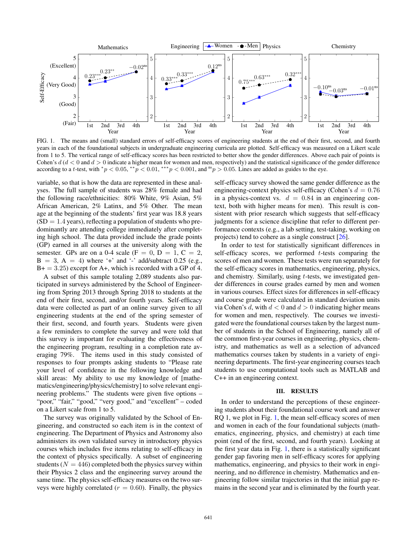

<span id="page-2-0"></span>FIG. 1. The means and (small) standard errors of self-efficacy scores of engineering students at the end of their first, second, and fourth years in each of the foundational subjects in undergraduate engineering curricula are plotted. Self-efficacy was measured on a Likert scale from 1 to 5. The vertical range of self-efficacy scores has been restricted to better show the gender differences. Above each pair of points is Cohen's  $d$  ( $d$  < 0 and  $d$  > 0 indicate a higher mean for women and men, respectively) and the statistical significance of the gender difference according to a t-test, with  $^*p < 0.05$ ,  $^{**}p < 0.01$ ,  $^{***}p < 0.001$ , and  $^{ns}p > 0.05$ . Lines are added as guides to the eye.

variable, so that is how the data are represented in these analyses. The full sample of students was 28% female and had the following race/ethnicities: 80% White, 9% Asian, 5% African American, 2% Latinx, and 5% Other. The mean age at the beginning of the students' first year was 18.8 years  $(SD = 1.4$  years), reflecting a population of students who predominantly are attending college immediately after completing high school. The data provided include the grade points (GP) earned in all courses at the university along with the semester. GPs are on a 0-4 scale (F = 0, D = 1, C = 2,  $B = 3$ ,  $A = 4$ ) where '+' and '-' add/subtract 0.25 (e.g.,  $B+=3.25$ ) except for A+, which is recorded with a GP of 4.

A subset of this sample totaling 2,089 students also participated in surveys administered by the School of Engineering from Spring 2013 through Spring 2018 to students at the end of their first, second, and/or fourth years. Self-efficacy data were collected as part of an online survey given to all engineering students at the end of the spring semester of their first, second, and fourth years. Students were given a few reminders to complete the survey and were told that this survey is important for evaluating the effectiveness of the engineering program, resulting in a completion rate averaging 79%. The items used in this study consisted of responses to four prompts asking students to "Please rate your level of confidence in the following knowledge and skill areas: My ability to use my knowledge of [mathematics/engineering/physics/chemistry] to solve relevant engineering problems." The students were given five options – "poor," "fair," "good," "very good," and "excellent" – coded on a Likert scale from 1 to 5.

The survey was originally validated by the School of Engineering, and constructed so each item is in the context of engineering. The Department of Physics and Astronomy also administers its own validated survey in introductory physics courses which includes five items relating to self-efficacy in the context of physics specifically. A subset of engineering students ( $N = 446$ ) completed both the physics survey within their Physics 2 class and the engineering survey around the same time. The physics self-efficacy measures on the two surveys were highly correlated ( $r = 0.60$ ). Finally, the physics self-efficacy survey showed the same gender difference as the engineering-context physics self-efficacy (Cohen's  $d = 0.76$ in a physics-context vs.  $d = 0.84$  in an engineering context, both with higher means for men). This result is consistent with prior research which suggests that self-efficacy judgments for a science discipline that refer to different performance contexts (e.g., a lab setting, test-taking, working on projects) tend to cohere as a single construct [26].

In order to test for statistically significant differences in self-efficacy scores, we performed t-tests comparing the scores of men and women. These tests were run separately for the self-efficacy scores in mathematics, engineering, physics, and chemistry. Similarly, using t-tests, we investigated gender differences in course grades earned by men and women in various courses. Effect sizes for differences in self-efficacy and course grade were calculated in standard deviation units via Cohen's d, with  $d < 0$  and  $d > 0$  indicating higher means for women and men, respectively. The courses we investigated were the foundational courses taken by the largest number of students in the School of Engineering, namely all of the common first-year courses in engineering, physics, chemistry, and mathematics as well as a selection of advanced mathematics courses taken by students in a variety of engineering departments. The first-year engineering courses teach students to use computational tools such as MATLAB and C++ in an engineering context.

#### III. RESULTS

In order to understand the perceptions of these engineering students about their foundational course work and answer RQ 1, we plot in Fig. [1,](#page-2-0) the mean self-efficacy scores of men and women in each of the four foundational subjects (mathematics, engineering, physics, and chemistry) at each time point (end of the first, second, and fourth years). Looking at the first year data in Fig. [1,](#page-2-0) there is a statistically significant gender gap favoring men in self-efficacy scores for applying mathematics, engineering, and physics to their work in engineering, and no difference in chemistry. Mathematics and engineering follow similar trajectories in that the initial gap remains in the second year and is eliminated by the fourth year.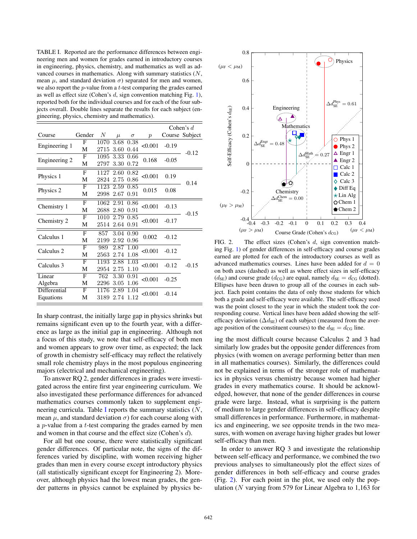<span id="page-3-0"></span>TABLE I. Reported are the performance differences between engineering men and women for grades earned in introductory courses in engineering, physics, chemistry, and mathematics as well as advanced courses in mathematics. Along with summary statistics  $(N,$ mean  $\mu$ , and standard deviation  $\sigma$ ) separated for men and women, we also report the  $p$ -value from a  $t$ -test comparing the grades earned as well as effect size (Cohen's  $d$ , sign convention matching Fig. 1), reported both for the individual courses and for each of the four subjects overall. Double lines separate the results for each subject (engineering, physics, chemistry and mathematics).

|               |        |           |       |           |                  | Cohen's $d$ |                |
|---------------|--------|-----------|-------|-----------|------------------|-------------|----------------|
| Course        | Gender | N         | $\mu$ | $\sigma$  | $\boldsymbol{p}$ |             | Course Subject |
| Engineering 1 | F      | 1070      | 3.68  | 0.38      | < 0.001          | $-0.19$     | $-0.12$        |
|               | М      | 2715      | 3.60  | 0.44      |                  |             |                |
| Engineering 2 | F      | 1095 3.33 |       | 0.66      | 0.168            | $-0.05$     |                |
|               | М      | 2797      | 3.30  | 0.72      |                  |             |                |
| Physics 1     | F      | 1127      | 2.60  | 0.82      | < 0.001          | 0.19        | 0.14           |
|               | M      | 2824      | 2.75  | 0.86      |                  |             |                |
| Physics 2     | F      | 1123      | 2.59  | 0.85      | 0.015            | 0.08        |                |
|               | М      | 2998      | 2.67  | 0.91      |                  |             |                |
| Chemistry 1   | F      | 1062      | 2.91  | 0.86      | < 0.001          | $-0.13$     | $-0.15$        |
|               | М      | 2688      | 2.80  | 0.91      |                  |             |                |
| Chemistry 2   | F      | 1010      | 2.79  | 0.85      | < 0.001          | $-0.17$     |                |
|               | М      | 2514      | 2.64  | 0.91      |                  |             |                |
| Calculus 1    | F      | 857       |       | 3.04 0.90 | 0.002            | $-0.12$     | $-0.15$        |
|               | М      | 2199      | 2.92  | 0.96      |                  |             |                |
| Calculus 2    | F      | 989       | 2.87  | 1.00      | < 0.001          | $-0.12$     |                |
|               | M      | 2563      | 2.74  | 1.08      |                  |             |                |
| Calculus 3    | F      | 1193      | 2.88  | 1.03      | < 0.001          | $-0.12$     |                |
|               | М      | 2954      | 2.75  | 1.10      |                  |             |                |
| Linear        | F      | 762       | 3.30  | 0.91      | < 0.001          | $-0.25$     |                |
| Algebra       | М      | 2296      | 3.05  | 1.06      |                  |             |                |
| Differential  | F      | 1176      | 2.89  | 1.04      | < 0.001          | $-0.14$     |                |
| Equations     | М      | 3189      | 2.74  | 1.12      |                  |             |                |

In sharp contrast, the initially large gap in physics shrinks but remains significant even up to the fourth year, with a difference as large as the initial gap in engineering. Although not a focus of this study, we note that self-efficacy of both men and women appears to grow over time, as expected; the lack of growth in chemistry self-efficacy may reflect the relatively small role chemistry plays in the most populous engineering majors (electrical and mechanical engineering).

To answer RQ 2, gender differences in grades were investigated across the entire first year engineering curriculum. We also investigated these performance differences for advanced mathematics courses commonly taken to supplement engi-neering curricula. Table [I](#page-3-0) reports the summary statistics  $(N,$ mean  $\mu$ , and standard deviation  $\sigma$ ) for each course along with a p-value from a t-test comparing the grades earned by men and women in that course and the effect size (Cohen's d).

For all but one course, there were statistically significant gender differences. Of particular note, the signs of the differences varied by discipline, with women receiving higher grades than men in every course except introductory physics (all statistically significant except for Engineering 2). Moreover, although physics had the lowest mean grades, the gender patterns in physics cannot be explained by physics be-



<span id="page-3-1"></span>FIG. 2. The effect sizes (Cohen's d, sign convention matching Fig. 1) of gender differences in self-efficacy and course grades earned are plotted for each of the introductory courses as well as advanced mathematics courses. Lines have been added for  $d = 0$ on both axes (dashed) as well as where effect sizes in self-efficacy  $(d_{\text{SE}})$  and course grade  $(d_{\text{CG}})$  are equal, namely  $d_{\text{SE}} = d_{\text{CG}}$  (dotted). Ellipses have been drawn to group all of the courses in each subject. Each point contains the data of only those students for which both a grade and self-efficacy were available. The self-efficacy used was the point closest to the year in which the student took the corresponding course. Vertical lines have been added showing the selfefficacy deviation ( $\Delta d_{\text{SE}}$ ) of each subject (measured from the average position of the constituent courses) to the  $d_{\text{SE}} = d_{\text{CG}}$  line.

ing the most difficult course because Calculus 2 and 3 had similarly low grades but the opposite gender differences from physics (with women on average performing better than men in all mathematics courses). Similarly, the differences could not be explained in terms of the stronger role of mathematics in physics versus chemistry because women had higher grades in every mathematics course. It should be acknowledged, however, that none of the gender differences in course grade were large. Instead, what is surprising is the pattern of medium to large gender differences in self-efficacy despite small differences in performance. Furthermore, in mathematics and engineering, we see opposite trends in the two measures, with women on average having higher grades but lower self-efficacy than men.

In order to answer RQ 3 and investigate the relationship between self-efficacy and performance, we combined the two previous analyses to simultaneously plot the effect sizes of gender differences in both self-efficacy and course grades (Fig. [2\)](#page-3-1). For each point in the plot, we used only the population (N varying from 579 for Linear Algebra to 1,163 for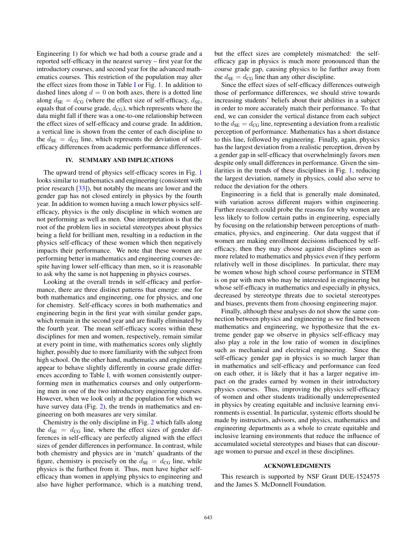Engineering 1) for which we had both a course grade and a reported self-efficacy in the nearest survey – first year for the introductory courses, and second year for the advanced mathematics courses. This restriction of the population may alter the effect sizes from those in Table I or Fig. 1. In addition to dashed lines along  $d = 0$  on both axes, there is a dotted line along  $d_{\text{SE}} = d_{\text{CG}}$  (where the effect size of self-efficacy,  $d_{\text{SE}}$ , equals that of course grade,  $d_{\text{CG}}$ ), which represents where the data might fall if there was a one-to-one relationship between the effect sizes of self-efficacy and course grade. In addition, a vertical line is shown from the center of each discipline to the  $d_{\text{SE}} = d_{\text{CG}}$  line, which represents the deviation of selfefficacy differences from academic performance differences.

## IV. SUMMARY AND IMPLICATIONS

The upward trend of physics self-efficacy scores in Fig. 1 looks similar to mathematics and engineering (consistent with prior research [33]), but notably the means are lower and the gender gap has not closed entirely in physics by the fourth year. In addition to women having a much lower physics selfefficacy, physics is the only discipline in which women are not performing as well as men. One interpretation is that the root of the problem lies in societal stereotypes about physics being a field for brilliant men, resulting in a reduction in the physics self-efficacy of these women which then negatively impacts their performance. We note that these women are performing better in mathematics and engineering courses despite having lower self-efficacy than men, so it is reasonable to ask why the same is not happening in physics courses.

Looking at the overall trends in self-efficacy and performance, there are three distinct patterns that emerge: one for both mathematics and engineering, one for physics, and one for chemistry. Self-efficacy scores in both mathematics and engineering begin in the first year with similar gender gaps, which remain in the second year and are finally eliminated by the fourth year. The mean self-efficacy scores within these disciplines for men and women, respectively, remain similar at every point in time, with mathematics scores only slightly higher, possibly due to more familiarity with the subject from high school. On the other hand, mathematics and engineering appear to behave slightly differently in course grade differences according to Table I, with women consistently outperforming men in mathematics courses and only outperforming men in one of the two introductory engineering courses. However, when we look only at the population for which we have survey data (Fig. 2), the trends in mathematics and engineering on both measures are very similar.

Chemistry is the only discipline in Fig. 2 which falls along the  $d_{\text{SE}} = d_{\text{CG}}$  line, where the effect sizes of gender differences in self-efficacy are perfectly aligned with the effect sizes of gender differences in performance. In contrast, while both chemistry and physics are in 'match' quadrants of the figure, chemistry is precisely on the  $d_{SE} = d_{CG}$  line, while physics is the furthest from it. Thus, men have higher selfefficacy than women in applying physics to engineering and also have higher performance, which is a matching trend, but the effect sizes are completely mismatched: the selfefficacy gap in physics is much more pronounced than the course grade gap, causing physics to lie further away from the  $d_{\text{SE}} = d_{\text{CG}}$  line than any other discipline.

Since the effect sizes of self-efficacy differences outweigh those of performance differences, we should strive towards increasing students' beliefs about their abilities in a subject in order to more accurately match their performance. To that end, we can consider the vertical distance from each subject to the  $d_{\text{SE}} = d_{\text{CG}}$  line, representing a deviation from a realistic perception of performance. Mathematics has a short distance to this line, followed by engineering. Finally, again, physics has the largest deviation from a realistic perception, driven by a gender gap in self-efficacy that overwhelmingly favors men despite only small differences in performance. Given the similarities in the trends of these disciplines in Fig. 1, reducing the largest deviation, namely in physics, could also serve to reduce the deviation for the others.

Engineering is a field that is generally male dominated, with variation across different majors within engineering. Further research could probe the reasons for why women are less likely to follow certain paths in engineering, especially by focusing on the relationship between perceptions of mathematics, physics, and engineering. Our data suggest that if women are making enrollment decisions influenced by selfefficacy, then they may choose against disciplines seen as more related to mathematics and physics even if they perform relatively well in those disciplines. In particular, there may be women whose high school course performance in STEM is on par with men who may be interested in engineering but whose self-efficacy in mathematics and especially in physics, decreased by stereotype threats due to societal stereotypes and biases, prevents them from choosing engineering major.

Finally, although these analyses do not show the same connection between physics and engineering as we find between mathematics and engineering, we hypothesize that the extreme gender gap we observe in physics self-efficacy may also play a role in the low ratio of women in disciplines such as mechanical and electrical engineering. Since the self-efficacy gender gap in physics is so much larger than in mathematics and self-efficacy and performance can feed on each other, it is likely that it has a larger negative impact on the grades earned by women in their introductory physics courses. Thus, improving the physics self-efficacy of women and other students traditionally underrepresented in physics by creating equitable and inclusive learning environments is essential. In particular, systemic efforts should be made by instructors, advisors, and physics, mathematics and engineering departments as a whole to create equitable and inclusive learning environments that reduce the influence of accumulated societal stereotypes and biases that can discourage women to pursue and excel in these disciplines.

## ACKNOWLEDGMENTS

This research is supported by NSF Grant DUE-1524575 and the James S. McDonnell Foundation.